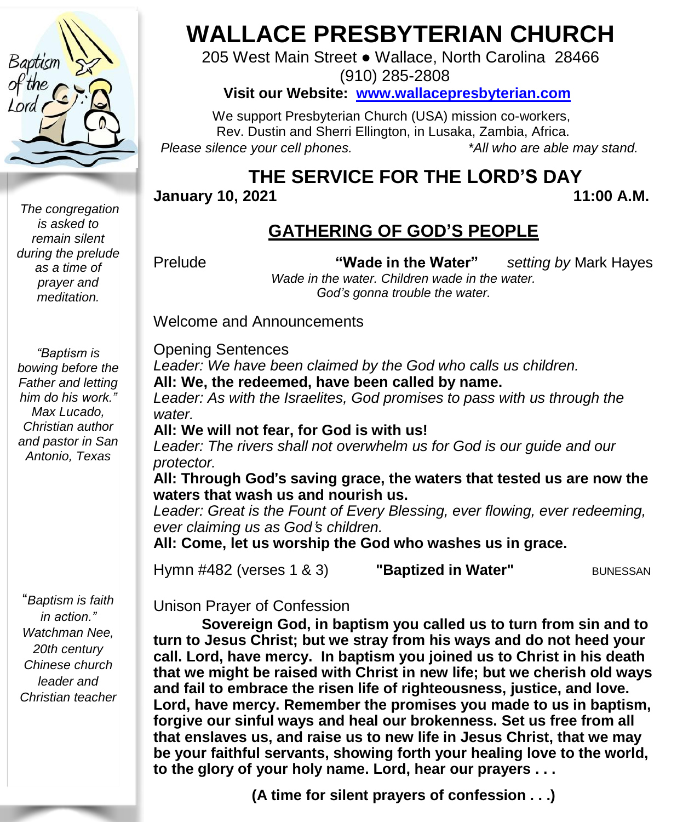

*The congregation is asked to remain silent during the prelude as a time of prayer and meditation.*

*"Baptism is bowing before the Father and letting him do his work." Max Lucado, Christian author and pastor in San Antonio, Texas*

"*Baptism is faith in action." Watchman Nee, 20th century Chinese church leader and Christian teacher*

# **WALLACE PRESBYTERIAN CHURCH**

205 West Main Street ● Wallace, North Carolina 28466 (910) 285-2808

#### **Visit our Website: [www.wallacepresbyterian.com](http://www.wallacepresbyterian.com/)**

 We support Presbyterian Church (USA) mission co-workers, Rev. Dustin and Sherri Ellington, in Lusaka, Zambia, Africa. *Please silence your cell phones. \*All who are able may stand.*

# **THE SERVICE FOR THE LORD'S DAY**

**January** 10, 2021 **11:00 A.M.** 

# **GATHERING OF GOD'S PEOPLE**

Prelude **"Wade in the Water"** *setting by* Mark Hayes *Wade in the water. Children wade in the water. God's gonna trouble the water.*

Welcome and Announcements

Opening Sentences

*Leader: We have been claimed by the God who calls us children.* **All: We, the redeemed, have been called by name.** *Leader: As with the Israelites, God promises to pass with us through the water.* **All: We will not fear, for God is with us!** *Leader: The rivers shall not overwhelm us for God is our guide and our protector.* **All: Through God**'**s saving grace, the waters that tested us are now the waters that wash us and nourish us.** *Leader: Great is the Fount of Every Blessing, ever flowing, ever redeeming,*

*ever claiming us as God*'*s children.*

**All: Come, let us worship the God who washes us in grace.**

Hymn #482 (verses 1 & 3) **"Baptized in Water"** BUNESSAN

Unison Prayer of Confession

**Sovereign God, in baptism you called us to turn from sin and to turn to Jesus Christ; but we stray from his ways and do not heed your call. Lord, have mercy. In baptism you joined us to Christ in his death that we might be raised with Christ in new life; but we cherish old ways and fail to embrace the risen life of righteousness, justice, and love. Lord, have mercy. Remember the promises you made to us in baptism, forgive our sinful ways and heal our brokenness. Set us free from all that enslaves us, and raise us to new life in Jesus Christ, that we may be your faithful servants, showing forth your healing love to the world, to the glory of your holy name. Lord, hear our prayers . . .**

**(A time for silent prayers of confession . . .)**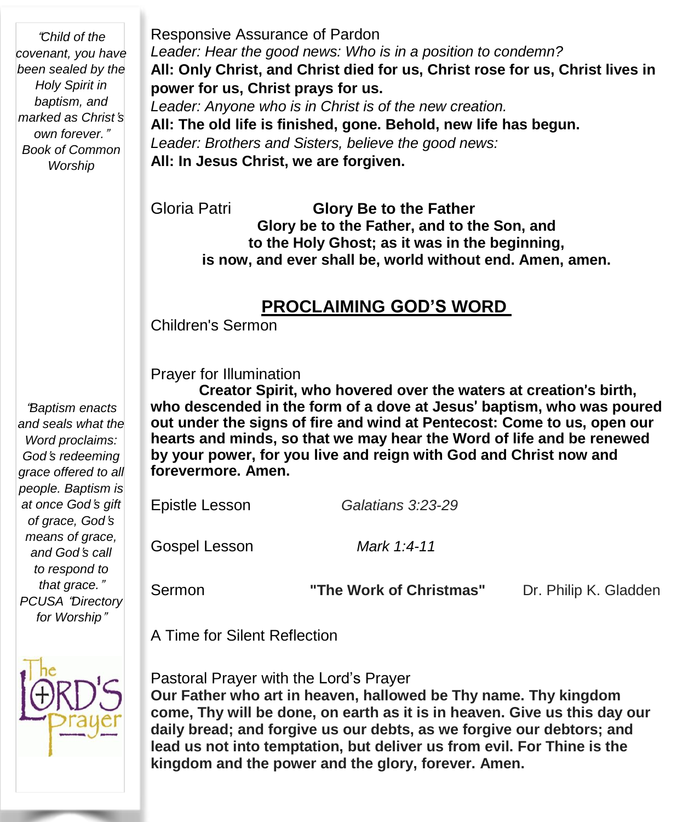"*Child of the covenant, you have been sealed by the Holy Spirit in baptism, and marked as Christ*'*s own forever.*" *Book of Common Worship*

Responsive Assurance of Pardon *Leader: Hear the good news: Who is in a position to condemn?* **All: Only Christ, and Christ died for us, Christ rose for us, Christ lives in power for us, Christ prays for us.** *Leader: Anyone who is in Christ is of the new creation.* **All: The old life is finished, gone. Behold, new life has begun.** *Leader: Brothers and Sisters, believe the good news:* **All: In Jesus Christ, we are forgiven.**

Gloria Patri **Glory Be to the Father Glory be to the Father, and to the Son, and to the Holy Ghost; as it was in the beginning, is now, and ever shall be, world without end. Amen, amen.**

### **PROCLAIMING GOD'S WORD**

Children's Sermon

Prayer for Illumination

**Creator Spirit, who hovered over the waters at creation**'**s birth, who descended in the form of a dove at Jesus**' **baptism, who was poured out under the signs of fire and wind at Pentecost: Come to us, open our hearts and minds, so that we may hear the Word of life and be renewed by your power, for you live and reign with God and Christ now and forevermore. Amen.**

Epistle Lesson *Galatians 3:23-29*

Gospel Lesson *Mark 1:4-11*

Sermon **"The Work of Christmas"** Dr. Philip K. Gladden

A Time for Silent Reflection



Pastoral Prayer with the Lord's Prayer

**Our Father who art in heaven, hallowed be Thy name. Thy kingdom come, Thy will be done, on earth as it is in heaven. Give us this day our daily bread; and forgive us our debts, as we forgive our debtors; and lead us not into temptation, but deliver us from evil. For Thine is the kingdom and the power and the glory, forever. Amen.**

*and seals what the Word proclaims: God*'*s redeeming grace offered to all people. Baptism is at once God*'*s gift of grace, God*'*s means of grace, and God*'*s call to respond to that grace.*" *PCUSA* "*Directory for Worship*"

"*Baptism enacts*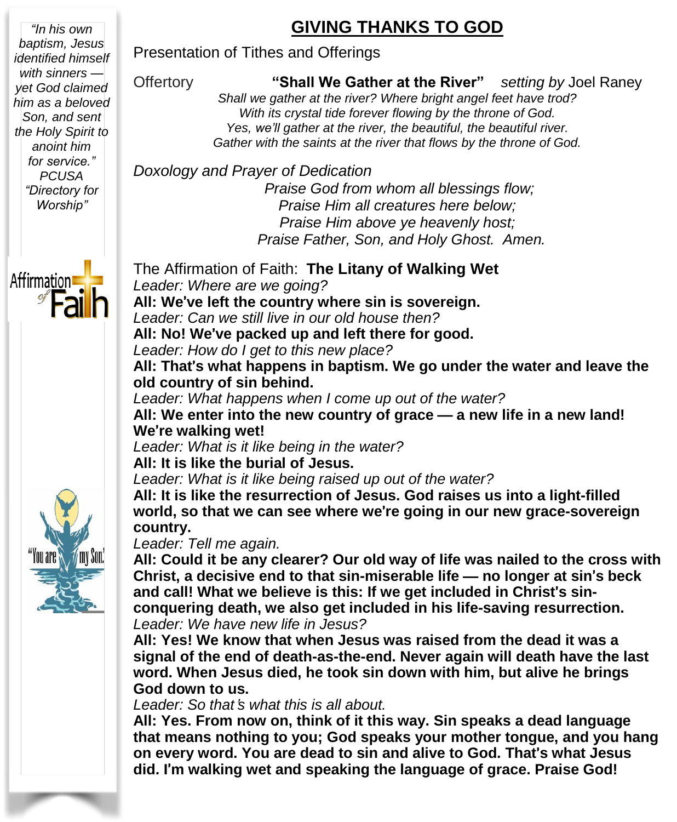# **GIVING THANKS TO GOD**

Presentation of Tithes and Offerings

#### Offertory **"Shall We Gather at the River"** *setting by* Joel Raney

*Shall we gather at the river? Where bright angel feet have trod? With its crystal tide forever flowing by the throne of God. Yes, we'll gather at the river, the beautiful, the beautiful river. Gather with the saints at the river that flows by the throne of God.*

*Doxology and Prayer of Dedication* 

*Praise God from whom all blessings flow; Praise Him all creatures here below; Praise Him above ye heavenly host; Praise Father, Son, and Holy Ghost. Amen.*

The Affirmation of Faith: **The Litany of Walking Wet** *Leader: Where are we going?*

**All: We**'**ve left the country where sin is sovereign.**

 *Leader: Can we still live in our old house then?*

**All: No! We**'**ve packed up and left there for good.**

*Leader: How do I get to this new place?*

**All: That**'**s what happens in baptism. We go under the water and leave the old country of sin behind.**

*Leader: What happens when I come up out of the water?*

**All: We enter into the new country of grace** — **a new life in a new land! We**'**re walking wet!**

*Leader: What is it like being in the water?*

**All: It is like the burial of Jesus.**

*Leader: What is it like being raised up out of the water?*

**All: It is like the resurrection of Jesus. God raises us into a light-filled world, so that we can see where we**'**re going in our new grace-sovereign country.**

*Leader: Tell me again.*

**All: Could it be any clearer? Our old way of life was nailed to the cross with Christ, a decisive end to that sin-miserable life** — **no longer at sin**'**s beck and call! What we believe is this: If we get included in Christ**'**s sinconquering death, we also get included in his life-saving resurrection.** *Leader: We have new life in Jesus?*

 **All: Yes! We know that when Jesus was raised from the dead it was a signal of the end of death-as-the-end. Never again will death have the last word. When Jesus died, he took sin down with him, but alive he brings God down to us.**

*Leader: So that*'*s what this is all about.*

**All: Yes. From now on, think of it this way. Sin speaks a dead language that means nothing to you; God speaks your mother tongue, and you hang on every word. You are dead to sin and alive to God. That**'**s what Jesus did. I**'**m walking wet and speaking the language of grace. Praise God!**







*"In his own baptism, Jesus identified himself with sinners —*